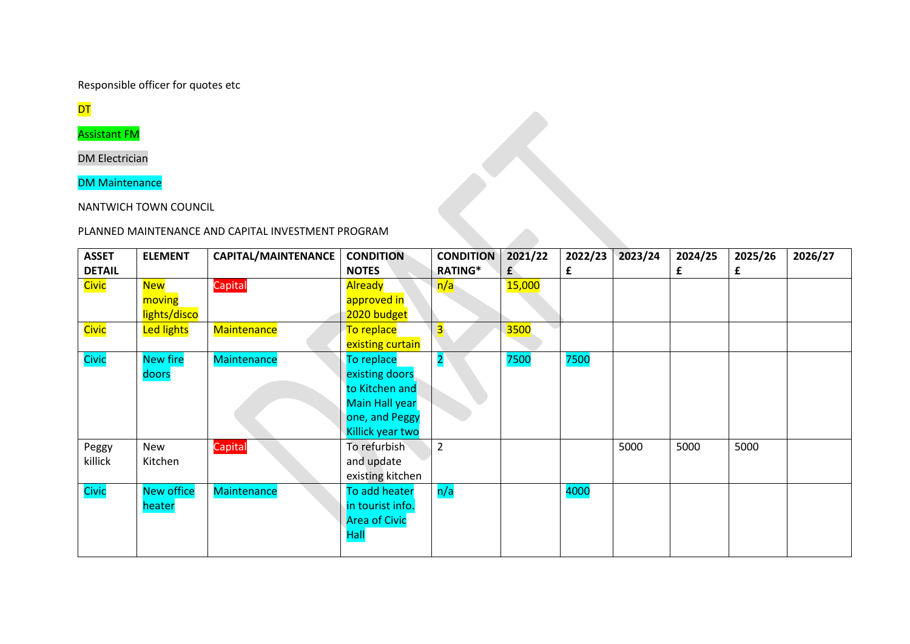Responsible officer for quotes etc

**DT** 

Assistant FM

DM Electrician

DM Maintenance

NANTWICH TOWN COUNCIL

# PLANNED MAINTENANCE AND CAPITAL INVESTMENT PROGRAM

| <b>ASSET</b>  | <b>ELEMENT</b>    | CAPITAL/MAINTENANCE | <b>CONDITION</b>     | <b>CONDITION</b>        | 2021/22 | 2022/23 | 2023/24 | 2024/25 | 2025/26 | 2026/27 |
|---------------|-------------------|---------------------|----------------------|-------------------------|---------|---------|---------|---------|---------|---------|
| <b>DETAIL</b> |                   |                     | <b>NOTES</b>         | <b>RATING*</b>          | £       | £       |         | £       | £       |         |
| <b>Civic</b>  | <b>New</b>        | Capital             | <b>Already</b>       | n/a                     | 15,000  |         |         |         |         |         |
|               | moving            |                     | approved in          |                         |         |         |         |         |         |         |
|               | lights/disco      |                     | 2020 budget          |                         |         |         |         |         |         |         |
| Civic         | <b>Led lights</b> | <b>Maintenance</b>  | To replace           | 3.                      | 3500    |         |         |         |         |         |
|               |                   |                     | existing curtain     |                         |         |         |         |         |         |         |
| Civic         | <b>New fire</b>   | <b>Maintenance</b>  | To replace           | $\overline{\mathbf{2}}$ | 7500    | 7500    |         |         |         |         |
|               | doors             |                     | existing doors       |                         |         |         |         |         |         |         |
|               |                   |                     | to Kitchen and       |                         |         |         |         |         |         |         |
|               |                   |                     | Main Hall year       |                         |         |         |         |         |         |         |
|               |                   |                     | one, and Peggy       |                         |         |         |         |         |         |         |
|               |                   |                     | Killick year two     |                         |         |         |         |         |         |         |
| Peggy         | New               | Capital             | To refurbish         | $\overline{2}$          |         |         | 5000    | 5000    | 5000    |         |
| killick       | Kitchen           |                     | and update           |                         |         |         |         |         |         |         |
|               |                   |                     | existing kitchen     |                         |         |         |         |         |         |         |
| Civic         | <b>New office</b> | <b>Maintenance</b>  | To add heater        | n/a                     |         | 4000    |         |         |         |         |
|               | heater            |                     | in tourist info.     |                         |         |         |         |         |         |         |
|               |                   |                     | <b>Area of Civic</b> |                         |         |         |         |         |         |         |
|               |                   |                     | <b>Hall</b>          |                         |         |         |         |         |         |         |
|               |                   |                     |                      |                         |         |         |         |         |         |         |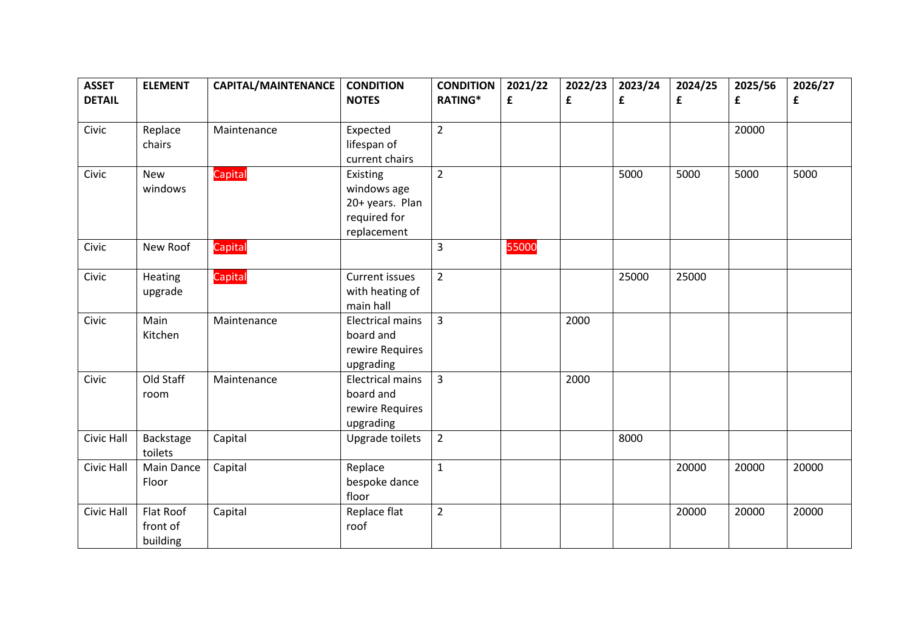| <b>ASSET</b><br><b>DETAIL</b> | <b>ELEMENT</b>    | CAPITAL/MAINTENANCE | <b>CONDITION</b><br><b>NOTES</b> | <b>CONDITION</b><br><b>RATING*</b> | 2021/22<br>£ | 2022/23<br>£ | 2023/24<br>£ | 2024/25<br>£ | 2025/56<br>£ | 2026/27<br>£ |
|-------------------------------|-------------------|---------------------|----------------------------------|------------------------------------|--------------|--------------|--------------|--------------|--------------|--------------|
|                               |                   |                     |                                  |                                    |              |              |              |              |              |              |
| Civic                         | Replace           | Maintenance         | Expected                         | $\overline{2}$                     |              |              |              |              | 20000        |              |
|                               | chairs            |                     | lifespan of                      |                                    |              |              |              |              |              |              |
|                               |                   |                     | current chairs                   |                                    |              |              |              |              |              |              |
| Civic                         | New               | Capital             | Existing                         | $\overline{2}$                     |              |              | 5000         | 5000         | 5000         | 5000         |
|                               | windows           |                     | windows age                      |                                    |              |              |              |              |              |              |
|                               |                   |                     | 20+ years. Plan                  |                                    |              |              |              |              |              |              |
|                               |                   |                     | required for                     |                                    |              |              |              |              |              |              |
|                               |                   |                     | replacement                      |                                    |              |              |              |              |              |              |
| Civic                         | New Roof          | Capital             |                                  | $\overline{3}$                     | 55000        |              |              |              |              |              |
| Civic                         | Heating           | Capital             | Current issues                   | $\overline{2}$                     |              |              | 25000        | 25000        |              |              |
|                               | upgrade           |                     | with heating of                  |                                    |              |              |              |              |              |              |
|                               |                   |                     | main hall                        |                                    |              |              |              |              |              |              |
| Civic                         | Main              | Maintenance         | <b>Electrical mains</b>          | 3                                  |              | 2000         |              |              |              |              |
|                               | Kitchen           |                     | board and                        |                                    |              |              |              |              |              |              |
|                               |                   |                     | rewire Requires                  |                                    |              |              |              |              |              |              |
|                               |                   |                     | upgrading                        |                                    |              |              |              |              |              |              |
| Civic                         | Old Staff         | Maintenance         | <b>Electrical mains</b>          | 3                                  |              | 2000         |              |              |              |              |
|                               | room              |                     | board and                        |                                    |              |              |              |              |              |              |
|                               |                   |                     | rewire Requires                  |                                    |              |              |              |              |              |              |
|                               |                   |                     | upgrading                        |                                    |              |              |              |              |              |              |
| Civic Hall                    | Backstage         | Capital             | Upgrade toilets                  | $\overline{2}$                     |              |              | 8000         |              |              |              |
|                               | toilets           |                     |                                  |                                    |              |              |              |              |              |              |
| Civic Hall                    | <b>Main Dance</b> | Capital             | Replace                          | $\mathbf{1}$                       |              |              |              | 20000        | 20000        | 20000        |
|                               | Floor             |                     | bespoke dance                    |                                    |              |              |              |              |              |              |
|                               |                   |                     | floor                            |                                    |              |              |              |              |              |              |
| Civic Hall                    | Flat Roof         | Capital             | Replace flat                     | $\overline{2}$                     |              |              |              | 20000        | 20000        | 20000        |
|                               | front of          |                     | roof                             |                                    |              |              |              |              |              |              |
|                               | building          |                     |                                  |                                    |              |              |              |              |              |              |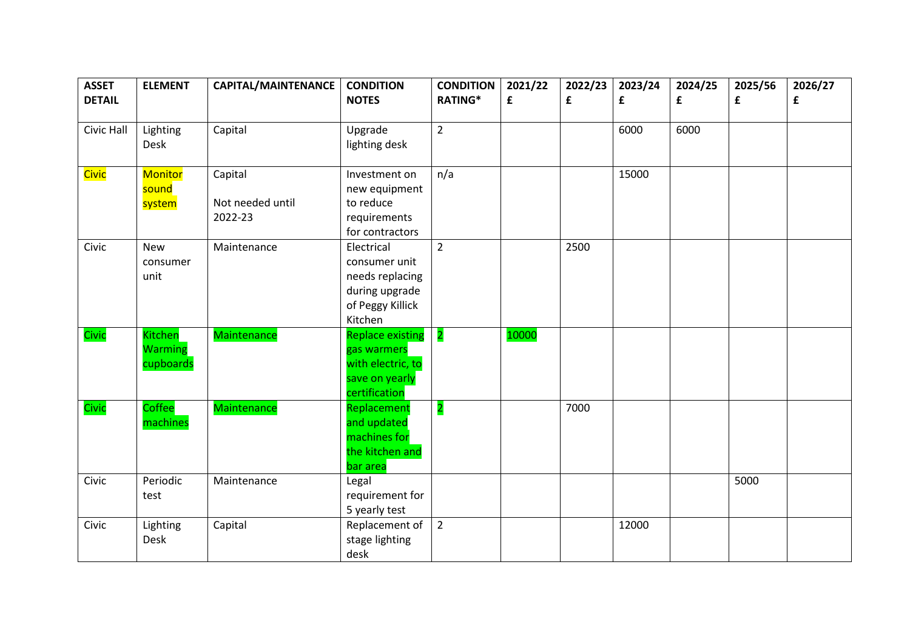| <b>ASSET</b><br><b>DETAIL</b> | <b>ELEMENT</b>                                | CAPITAL/MAINTENANCE         | <b>CONDITION</b><br><b>NOTES</b>                                                                | <b>CONDITION</b><br><b>RATING*</b> | 2021/22<br>£ | 2022/23<br>£ | 2023/24<br>£ | 2024/25<br>£ | 2025/56<br>£ | 2026/27<br>£ |
|-------------------------------|-----------------------------------------------|-----------------------------|-------------------------------------------------------------------------------------------------|------------------------------------|--------------|--------------|--------------|--------------|--------------|--------------|
|                               |                                               |                             |                                                                                                 |                                    |              |              |              |              |              |              |
| Civic Hall                    | Lighting<br>Desk                              | Capital                     | Upgrade<br>lighting desk                                                                        | $\overline{2}$                     |              |              | 6000         | 6000         |              |              |
| Civic                         | <b>Monitor</b><br>sound                       | Capital                     | Investment on<br>new equipment                                                                  | n/a                                |              |              | 15000        |              |              |              |
|                               | system                                        | Not needed until<br>2022-23 | to reduce<br>requirements<br>for contractors                                                    |                                    |              |              |              |              |              |              |
| Civic                         | <b>New</b><br>consumer<br>unit                | Maintenance                 | Electrical<br>consumer unit<br>needs replacing<br>during upgrade<br>of Peggy Killick<br>Kitchen | $\overline{2}$                     |              | 2500         |              |              |              |              |
| Civic                         | <b>Kitchen</b><br><b>Warming</b><br>cupboards | <b>Maintenance</b>          | Replace existing<br>gas warmers<br>with electric, to<br>save on yearly<br>certification         | $\overline{\mathbf{2}}$            | 10000        |              |              |              |              |              |
| Civic                         | Coffee<br>machines                            | Maintenance                 | Replacement<br>and updated<br>machines for<br>the kitchen and<br>bar area                       | $\overline{\mathbf{c}}$            |              | 7000         |              |              |              |              |
| Civic                         | Periodic<br>test                              | Maintenance                 | Legal<br>requirement for<br>5 yearly test                                                       |                                    |              |              |              |              | 5000         |              |
| Civic                         | Lighting<br>Desk                              | Capital                     | Replacement of<br>stage lighting<br>desk                                                        | $\overline{2}$                     |              |              | 12000        |              |              |              |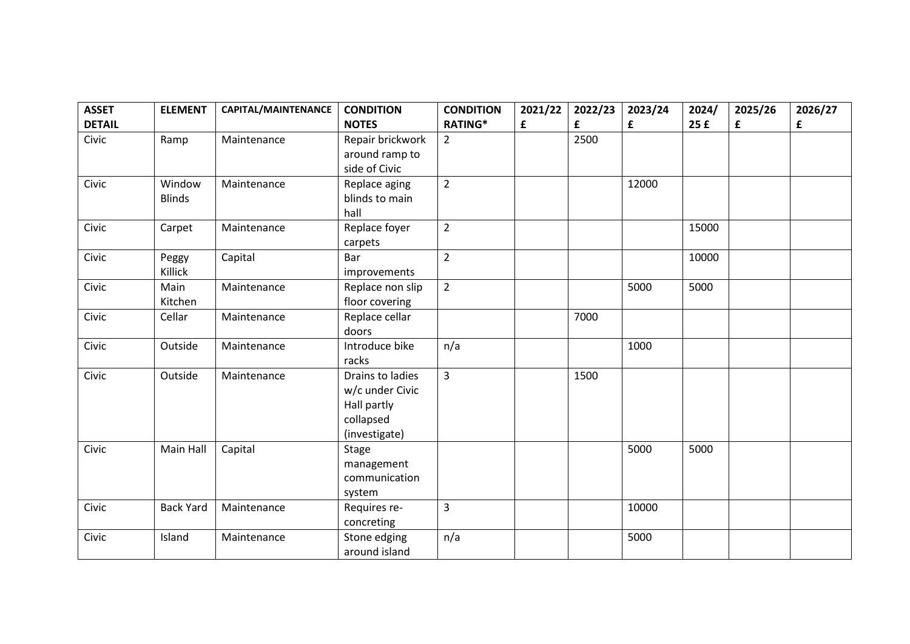| <b>ASSET</b>  | <b>ELEMENT</b>   | CAPITAL/MAINTENANCE | <b>CONDITION</b>      | <b>CONDITION</b> | 2021/22 | 2022/23 | 2023/24 | 2024/ | 2025/26 | 2026/27 |
|---------------|------------------|---------------------|-----------------------|------------------|---------|---------|---------|-------|---------|---------|
| <b>DETAIL</b> |                  |                     | <b>NOTES</b>          | <b>RATING*</b>   | £       | £       | £       | 25f   | £       | £       |
| Civic         | Ramp             | Maintenance         | Repair brickwork      | $\overline{2}$   |         | 2500    |         |       |         |         |
|               |                  |                     | around ramp to        |                  |         |         |         |       |         |         |
|               |                  |                     | side of Civic         |                  |         |         |         |       |         |         |
| Civic         | Window           | Maintenance         | Replace aging         | $\overline{2}$   |         |         | 12000   |       |         |         |
|               | <b>Blinds</b>    |                     | blinds to main        |                  |         |         |         |       |         |         |
| Civic         |                  | Maintenance         | hall<br>Replace foyer | $\overline{2}$   |         |         |         | 15000 |         |         |
|               | Carpet           |                     |                       |                  |         |         |         |       |         |         |
| Civic         | Peggy            | Capital             | carpets<br>Bar        | $\overline{2}$   |         |         |         | 10000 |         |         |
|               | Killick          |                     | improvements          |                  |         |         |         |       |         |         |
| Civic         | Main             | Maintenance         | Replace non slip      | $\overline{2}$   |         |         | 5000    | 5000  |         |         |
|               | Kitchen          |                     | floor covering        |                  |         |         |         |       |         |         |
| Civic         | Cellar           | Maintenance         | Replace cellar        |                  |         | 7000    |         |       |         |         |
|               |                  |                     | doors                 |                  |         |         |         |       |         |         |
| Civic         | Outside          | Maintenance         | Introduce bike        | n/a              |         |         | 1000    |       |         |         |
|               |                  |                     | racks                 |                  |         |         |         |       |         |         |
| Civic         | Outside          | Maintenance         | Drains to ladies      | $\overline{3}$   |         | 1500    |         |       |         |         |
|               |                  |                     | w/c under Civic       |                  |         |         |         |       |         |         |
|               |                  |                     | Hall partly           |                  |         |         |         |       |         |         |
|               |                  |                     | collapsed             |                  |         |         |         |       |         |         |
|               |                  |                     | (investigate)         |                  |         |         |         |       |         |         |
| Civic         | Main Hall        | Capital             | Stage                 |                  |         |         | 5000    | 5000  |         |         |
|               |                  |                     | management            |                  |         |         |         |       |         |         |
|               |                  |                     | communication         |                  |         |         |         |       |         |         |
|               |                  |                     | system                |                  |         |         |         |       |         |         |
| Civic         | <b>Back Yard</b> | Maintenance         | Requires re-          | $\overline{3}$   |         |         | 10000   |       |         |         |
|               |                  |                     | concreting            |                  |         |         |         |       |         |         |
| Civic         | Island           | Maintenance         | Stone edging          | n/a              |         |         | 5000    |       |         |         |
|               |                  |                     | around island         |                  |         |         |         |       |         |         |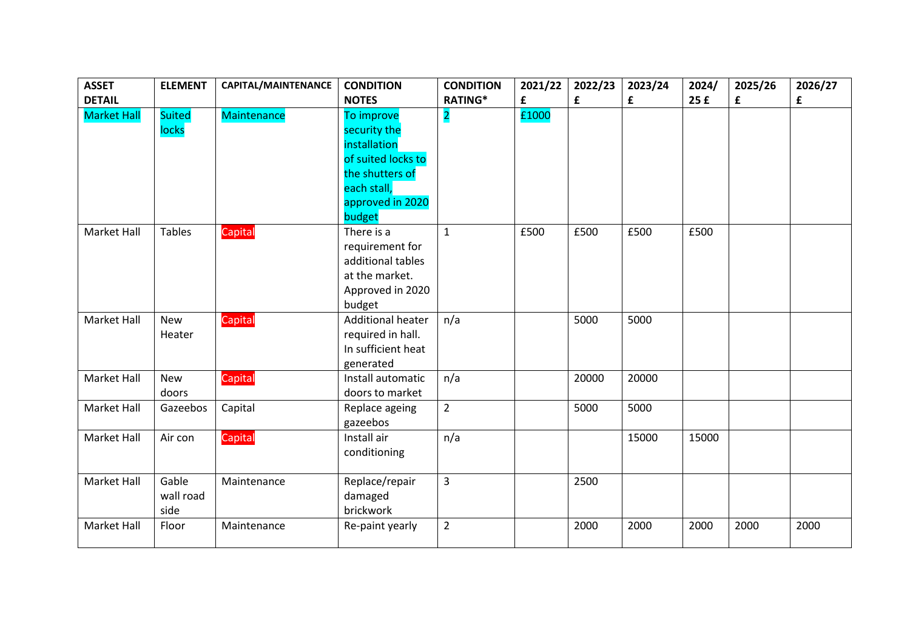| <b>ASSET</b>       | <b>ELEMENT</b>             | CAPITAL/MAINTENANCE | <b>CONDITION</b>                                                                                                                 | <b>CONDITION</b>        | 2021/22 | 2022/23 | 2023/24 | 2024/ | 2025/26 | 2026/27 |
|--------------------|----------------------------|---------------------|----------------------------------------------------------------------------------------------------------------------------------|-------------------------|---------|---------|---------|-------|---------|---------|
| <b>DETAIL</b>      |                            |                     | <b>NOTES</b>                                                                                                                     | <b>RATING*</b>          | £       | £       | £       | 25f   | £       | £       |
| <b>Market Hall</b> | <b>Suited</b><br>locks     | <b>Maintenance</b>  | To improve<br>security the<br>installation<br>of suited locks to<br>the shutters of<br>each stall,<br>approved in 2020<br>budget | $\overline{\mathbf{2}}$ | £1000   |         |         |       |         |         |
| Market Hall        | <b>Tables</b>              | Capital             | There is a<br>requirement for<br>additional tables<br>at the market.<br>Approved in 2020<br>budget                               | $\mathbf{1}$            | £500    | £500    | £500    | £500  |         |         |
| Market Hall        | <b>New</b><br>Heater       | Capital             | <b>Additional heater</b><br>required in hall.<br>In sufficient heat<br>generated                                                 | n/a                     |         | 5000    | 5000    |       |         |         |
| <b>Market Hall</b> | <b>New</b><br>doors        | Capital             | Install automatic<br>doors to market                                                                                             | n/a                     |         | 20000   | 20000   |       |         |         |
| Market Hall        | Gazeebos                   | Capital             | Replace ageing<br>gazeebos                                                                                                       | $\overline{2}$          |         | 5000    | 5000    |       |         |         |
| Market Hall        | Air con                    | Capital             | Install air<br>conditioning                                                                                                      | n/a                     |         |         | 15000   | 15000 |         |         |
| Market Hall        | Gable<br>wall road<br>side | Maintenance         | Replace/repair<br>damaged<br>brickwork                                                                                           | $\overline{3}$          |         | 2500    |         |       |         |         |
| <b>Market Hall</b> | Floor                      | Maintenance         | Re-paint yearly                                                                                                                  | $\overline{2}$          |         | 2000    | 2000    | 2000  | 2000    | 2000    |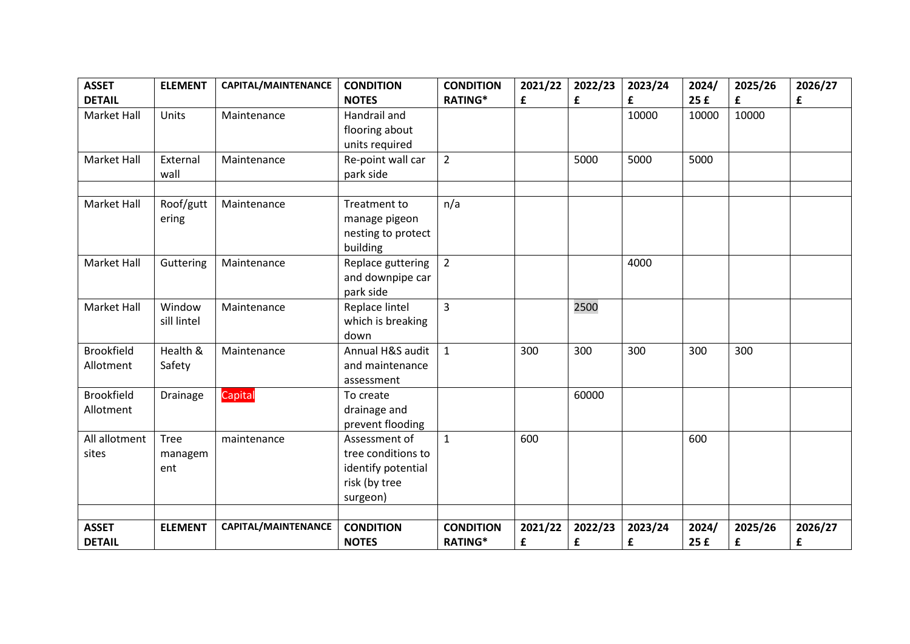| <b>ASSET</b>       | <b>ELEMENT</b> | CAPITAL/MAINTENANCE | <b>CONDITION</b>              | <b>CONDITION</b> | 2021/22 | 2022/23 | 2023/24 | 2024/ | 2025/26 | 2026/27 |
|--------------------|----------------|---------------------|-------------------------------|------------------|---------|---------|---------|-------|---------|---------|
| <b>DETAIL</b>      |                |                     | <b>NOTES</b>                  | <b>RATING*</b>   | £       | £       | £       | 25f   | £       | £       |
| <b>Market Hall</b> | Units          | Maintenance         | Handrail and                  |                  |         |         | 10000   | 10000 | 10000   |         |
|                    |                |                     | flooring about                |                  |         |         |         |       |         |         |
|                    |                |                     | units required                |                  |         |         |         |       |         |         |
| <b>Market Hall</b> | External       | Maintenance         | Re-point wall car             | $\overline{2}$   |         | 5000    | 5000    | 5000  |         |         |
|                    | wall           |                     | park side                     |                  |         |         |         |       |         |         |
|                    |                |                     |                               |                  |         |         |         |       |         |         |
| Market Hall        | Roof/gutt      | Maintenance         | Treatment to                  | n/a              |         |         |         |       |         |         |
|                    | ering          |                     | manage pigeon                 |                  |         |         |         |       |         |         |
|                    |                |                     | nesting to protect            |                  |         |         |         |       |         |         |
| Market Hall        | Guttering      | Maintenance         | building<br>Replace guttering | $\overline{2}$   |         |         | 4000    |       |         |         |
|                    |                |                     | and downpipe car              |                  |         |         |         |       |         |         |
|                    |                |                     | park side                     |                  |         |         |         |       |         |         |
| <b>Market Hall</b> | Window         | Maintenance         | Replace lintel                | $\overline{3}$   |         | 2500    |         |       |         |         |
|                    | sill lintel    |                     | which is breaking             |                  |         |         |         |       |         |         |
|                    |                |                     | down                          |                  |         |         |         |       |         |         |
| <b>Brookfield</b>  | Health &       | Maintenance         | Annual H&S audit              | $\mathbf{1}$     | 300     | 300     | 300     | 300   | 300     |         |
| Allotment          | Safety         |                     | and maintenance               |                  |         |         |         |       |         |         |
|                    |                |                     | assessment                    |                  |         |         |         |       |         |         |
| <b>Brookfield</b>  | Drainage       | Capital             | To create                     |                  |         | 60000   |         |       |         |         |
| Allotment          |                |                     | drainage and                  |                  |         |         |         |       |         |         |
|                    |                |                     | prevent flooding              |                  |         |         |         |       |         |         |
| All allotment      | Tree           | maintenance         | Assessment of                 | $\mathbf{1}$     | 600     |         |         | 600   |         |         |
| sites              | managem        |                     | tree conditions to            |                  |         |         |         |       |         |         |
|                    | ent            |                     | identify potential            |                  |         |         |         |       |         |         |
|                    |                |                     | risk (by tree                 |                  |         |         |         |       |         |         |
|                    |                |                     | surgeon)                      |                  |         |         |         |       |         |         |
|                    |                |                     |                               |                  |         |         |         |       |         |         |
| <b>ASSET</b>       | <b>ELEMENT</b> | CAPITAL/MAINTENANCE | <b>CONDITION</b>              | <b>CONDITION</b> | 2021/22 | 2022/23 | 2023/24 | 2024/ | 2025/26 | 2026/27 |
| <b>DETAIL</b>      |                |                     | <b>NOTES</b>                  | <b>RATING*</b>   | £       | £       | £       | 25f   | £       | £       |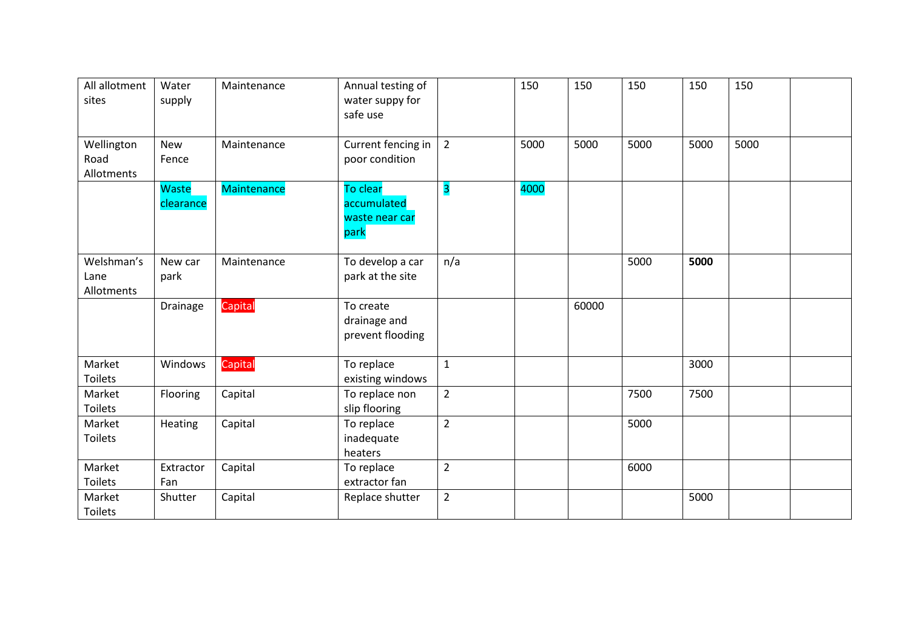| All allotment<br>sites           | Water<br>supply     | Maintenance        | Annual testing of<br>water suppy for<br>safe use  |                | 150  | 150   | 150  | 150  | 150  |  |
|----------------------------------|---------------------|--------------------|---------------------------------------------------|----------------|------|-------|------|------|------|--|
| Wellington<br>Road<br>Allotments | <b>New</b><br>Fence | Maintenance        | Current fencing in<br>poor condition              | $\overline{2}$ | 5000 | 5000  | 5000 | 5000 | 5000 |  |
|                                  | Waste<br>clearance  | <b>Maintenance</b> | To clear<br>accumulated<br>waste near car<br>park | 3              | 4000 |       |      |      |      |  |
| Welshman's<br>Lane<br>Allotments | New car<br>park     | Maintenance        | To develop a car<br>park at the site              | n/a            |      |       | 5000 | 5000 |      |  |
|                                  | Drainage            | Capital            | To create<br>drainage and<br>prevent flooding     |                |      | 60000 |      |      |      |  |
| Market<br><b>Toilets</b>         | Windows             | Capital            | To replace<br>existing windows                    | $\mathbf{1}$   |      |       |      | 3000 |      |  |
| Market<br><b>Toilets</b>         | Flooring            | Capital            | To replace non<br>slip flooring                   | $\overline{2}$ |      |       | 7500 | 7500 |      |  |
| Market<br><b>Toilets</b>         | Heating             | Capital            | To replace<br>inadequate<br>heaters               | $\overline{2}$ |      |       | 5000 |      |      |  |
| Market<br><b>Toilets</b>         | Extractor<br>Fan    | Capital            | To replace<br>extractor fan                       | $\overline{2}$ |      |       | 6000 |      |      |  |
| Market<br><b>Toilets</b>         | Shutter             | Capital            | Replace shutter                                   | $\overline{2}$ |      |       |      | 5000 |      |  |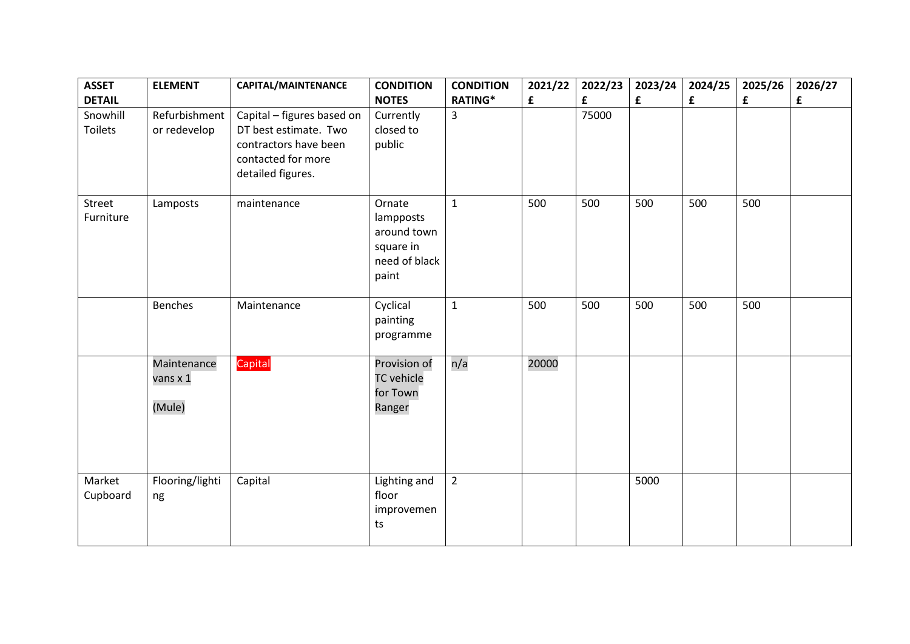| <b>ASSET</b>               | <b>ELEMENT</b>                    | CAPITAL/MAINTENANCE                                                                                                     | <b>CONDITION</b>                                                          | <b>CONDITION</b> | 2021/22     | 2022/23 | 2023/24 | 2024/25 | 2025/26 | 2026/27 |
|----------------------------|-----------------------------------|-------------------------------------------------------------------------------------------------------------------------|---------------------------------------------------------------------------|------------------|-------------|---------|---------|---------|---------|---------|
| <b>DETAIL</b>              |                                   |                                                                                                                         | <b>NOTES</b>                                                              | <b>RATING*</b>   | $\mathbf f$ | £       | £       | £       | £       | £       |
| Snowhill<br><b>Toilets</b> | Refurbishment<br>or redevelop     | Capital - figures based on<br>DT best estimate. Two<br>contractors have been<br>contacted for more<br>detailed figures. | Currently<br>closed to<br>public                                          | 3                |             | 75000   |         |         |         |         |
| Street<br>Furniture        | Lamposts                          | maintenance                                                                                                             | Ornate<br>lampposts<br>around town<br>square in<br>need of black<br>paint | $\mathbf{1}$     | 500         | 500     | 500     | 500     | 500     |         |
|                            | <b>Benches</b>                    | Maintenance                                                                                                             | Cyclical<br>painting<br>programme                                         | $\mathbf{1}$     | 500         | 500     | 500     | 500     | 500     |         |
|                            | Maintenance<br>vans x 1<br>(Mule) | Capital                                                                                                                 | Provision of<br><b>TC</b> vehicle<br>for Town<br>Ranger                   | n/a              | 20000       |         |         |         |         |         |
| Market<br>Cupboard         | Flooring/lighti<br>ng             | Capital                                                                                                                 | Lighting and<br>floor<br>improvemen<br>ts                                 | $\overline{2}$   |             |         | 5000    |         |         |         |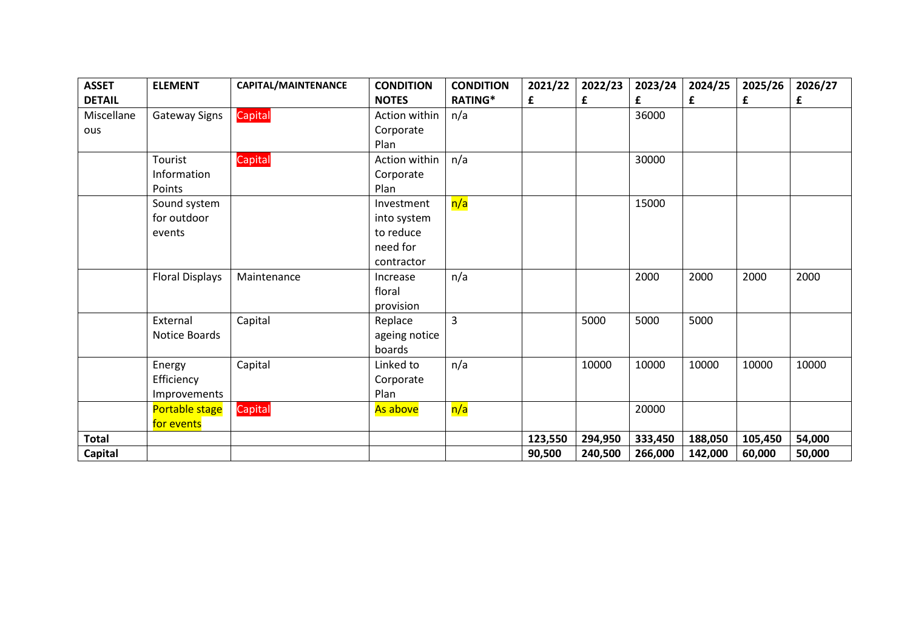| <b>ASSET</b>   | <b>ELEMENT</b>         | CAPITAL/MAINTENANCE | <b>CONDITION</b> | <b>CONDITION</b> | 2021/22 | 2022/23 | 2023/24 | 2024/25 | 2025/26 | 2026/27 |
|----------------|------------------------|---------------------|------------------|------------------|---------|---------|---------|---------|---------|---------|
| <b>DETAIL</b>  |                        |                     | <b>NOTES</b>     | <b>RATING*</b>   | £       | £       | £       | £       | £       | £       |
| Miscellane     | Gateway Signs          | Capital             | Action within    | n/a              |         |         | 36000   |         |         |         |
| ous            |                        |                     | Corporate        |                  |         |         |         |         |         |         |
|                |                        |                     | Plan             |                  |         |         |         |         |         |         |
|                | Tourist                | Capital             | Action within    | n/a              |         |         | 30000   |         |         |         |
|                | Information            |                     | Corporate        |                  |         |         |         |         |         |         |
|                | Points                 |                     | Plan             |                  |         |         |         |         |         |         |
|                | Sound system           |                     | Investment       | n/a              |         |         | 15000   |         |         |         |
|                | for outdoor            |                     | into system      |                  |         |         |         |         |         |         |
|                | events                 |                     | to reduce        |                  |         |         |         |         |         |         |
|                |                        |                     | need for         |                  |         |         |         |         |         |         |
|                |                        |                     | contractor       |                  |         |         |         |         |         |         |
|                | <b>Floral Displays</b> | Maintenance         | Increase         | n/a              |         |         | 2000    | 2000    | 2000    | 2000    |
|                |                        |                     | floral           |                  |         |         |         |         |         |         |
|                |                        |                     | provision        |                  |         |         |         |         |         |         |
|                | External               | Capital             | Replace          | $\overline{3}$   |         | 5000    | 5000    | 5000    |         |         |
|                | Notice Boards          |                     | ageing notice    |                  |         |         |         |         |         |         |
|                |                        |                     | boards           |                  |         |         |         |         |         |         |
|                | Energy                 | Capital             | Linked to        | n/a              |         | 10000   | 10000   | 10000   | 10000   | 10000   |
|                | Efficiency             |                     | Corporate        |                  |         |         |         |         |         |         |
|                | Improvements           |                     | Plan             |                  |         |         |         |         |         |         |
|                | <b>Portable stage</b>  | Capital             | As above         | n/a              |         |         | 20000   |         |         |         |
|                | for events             |                     |                  |                  |         |         |         |         |         |         |
| <b>Total</b>   |                        |                     |                  |                  | 123,550 | 294,950 | 333,450 | 188,050 | 105,450 | 54,000  |
| <b>Capital</b> |                        |                     |                  |                  | 90,500  | 240,500 | 266,000 | 142,000 | 60,000  | 50,000  |